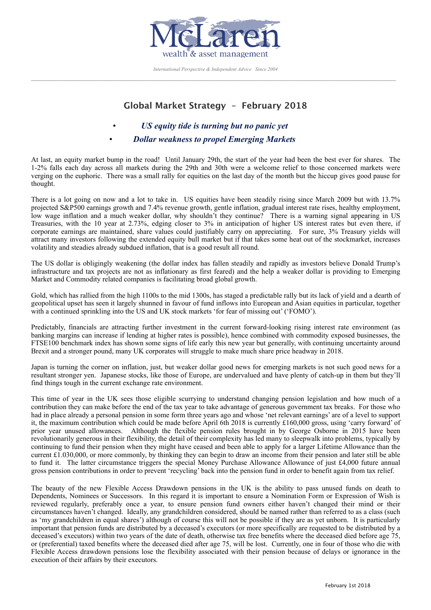

*International Perspective & Independent Advice Since 2004*  $\_$  , and the state of the state of the state of the state of the state of the state of the state of the state of the state of the state of the state of the state of the state of the state of the state of the state of the

## **Global Market Strategy – February 2018**

- • *US equity tide is turning but no panic yet*
- • *Dollar weakness to propel Emerging Markets*

At last, an equity market bump in the road! Until January 29th, the start of the year had been the best ever for shares. The 1-2% falls each day across all markets during the 29th and 30th were a welcome relief to those concerned markets were verging on the euphoric. There was a small rally for equities on the last day of the month but the hiccup gives good pause for thought.

There is a lot going on now and a lot to take in. US equities have been steadily rising since March 2009 but with 13.7% projected S&P500 earnings growth and 7.4% revenue growth, gentle inflation, gradual interest rate rises, healthy employment, low wage inflation and a much weaker dollar, why shouldn't they continue? There is a warning signal appearing in US Treasuries, with the 10 year at 2.73%, edging closer to 3% in anticipation of higher US interest rates but even there, if corporate earnings are maintained, share values could justifiably carry on appreciating. For sure, 3% Treasury yields will attract many investors following the extended equity bull market but if that takes some heat out of the stockmarket, increases volatility and steadies already subdued inflation, that is a good result all round.

The US dollar is obligingly weakening (the dollar index has fallen steadily and rapidly as investors believe Donald Trump's infrastructure and tax projects are not as inflationary as first feared) and the help a weaker dollar is providing to Emerging Market and Commodity related companies is facilitating broad global growth.

Gold, which has rallied from the high 1100s to the mid 1300s, has staged a predictable rally but its lack of yield and a dearth of geopolitical upset has seen it largely shunned in favour of fund inflows into European and Asian equities in particular, together with a continued sprinkling into the US and UK stock markets 'for fear of missing out' ('FOMO').

Predictably, financials are attracting further investment in the current forward-looking rising interest rate environment (as banking margins can increase if lending at higher rates is possible), hence combined with commodity exposed businesses, the FTSE100 benchmark index has shown some signs of life early this new year but generally, with continuing uncertainty around Brexit and a stronger pound, many UK corporates will struggle to make much share price headway in 2018.

Japan is turning the corner on inflation, just, but weaker dollar good news for emerging markets is not such good news for a resultant stronger yen. Japanese stocks, like those of Europe, are undervalued and have plenty of catch-up in them but they'll find things tough in the current exchange rate environment.

This time of year in the UK sees those eligible scurrying to understand changing pension legislation and how much of a contribution they can make before the end of the tax year to take advantage of generous government tax breaks. For those who had in place already a personal pension in some form three years ago and whose 'net relevant earnings' are of a level to support it, the maximum contribution which could be made before April 6th 2018 is currently £160,000 gross, using 'carry forward' of prior year unused allowances. Although the flexible pension rules brought in by George Osborne in 2015 have been revolutionarily generous in their flexibility, the detail of their complexity has led many to sleepwalk into problems, typically by continuing to fund their pension when they might have ceased and been able to apply for a larger Lifetime Allowance than the current £1.030,000, or more commonly, by thinking they can begin to draw an income from their pension and later still be able to fund it. The latter circumstance triggers the special Money Purchase Allowance Allowance of just £4,000 future annual gross pension contributions in order to prevent 'recycling' back into the pension fund in order to benefit again from tax relief.

The beauty of the new Flexible Access Drawdown pensions in the UK is the ability to pass unused funds on death to Dependents, Nominees or Successors. In this regard it is important to ensure a Nomination Form or Expression of Wish is reviewed regularly, preferably once a year, to ensure pension fund owners either haven't changed their mind or their circumstances haven't changed. Ideally, any grandchildren considered, should be named rather than referred to as a class (such as 'my grandchildren in equal shares') although of course this will not be possible if they are as yet unborn. It is particularly important that pension funds are distributed by a deceased's executors (or more specifically are requested to be distributed by a deceased's executors) within two years of the date of death, otherwise tax free benefits where the deceased died before age 75, or (preferential) taxed benefits where the deceased died after age 75, will be lost. Currently, one in four of those who die with Flexible Access drawdown pensions lose the flexibility associated with their pension because of delays or ignorance in the execution of their affairs by their executors.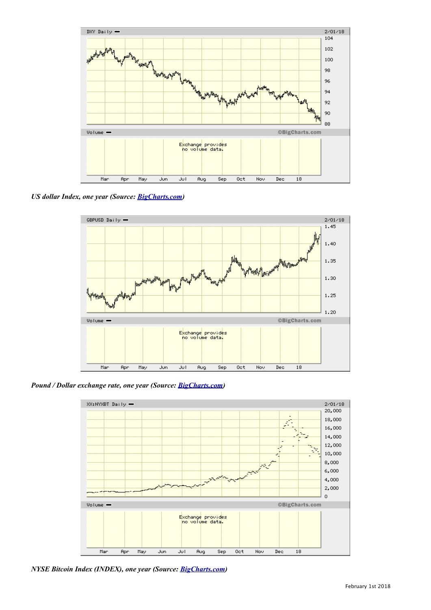

*US dollar Index, one year (Source: [BigCharts.com](http://BigCharts.com))*



*Pound / Dollar exchange rate, one year (Source: [BigCharts.com](http://BigCharts.com))*



*NYSE Bitcoin Index (INDEX), one year (Source: [BigCharts.com](http://BigCharts.com))*